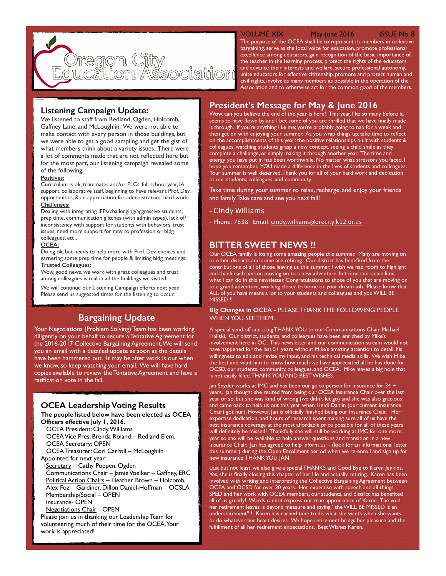

## VOLUME XIX May-June 2016 ISSUE No. 8

The purpose of the OCEA shall be to represent its members in collective bargaining, serve as the local voice for education, promote professional excellence among educators, gain recognition of the basic importance of the teacher in the learning process, protect the rights of the educators and advance their interests and welfare, secure professional autonomy, unite educators for effective citizenship, promote and protect human and civil rights, involve as many members as possible in the operation of the Association and to otherwise act for the common good of the members.

# **Listening Campaign Update:**

We listened to staff from Redland, Ogden, Holcomb, Gaffney Lane, and McLoughlin. We were not able to make contact with every person in those buildings, but we were able to get a good sampling and get the gist of what members think about a variety issues. There were a lot of comments made that are not reflected here but for the most part, our listening campaign revealed some of the following:

#### **Positives:**

Curriculum is ok, teammates and/or PLCs, full school year, IA support, collaborative staff, beginning to have relevant Prof. Dev. opportunities, & an appreciation for administrators' hard work. **Challenges:** 

Dealing with integrating IEPs/challenging/aggressive students, prep time, communication glitches (with admin types), lack of/ inconsistency with support for students with behaviors, trust issues, need more support for new to profession or bldg colleagues, etc.,

#### **OCEA:**

Doing ok, but needs to help more with Prof. Dev. choices and garnering some prep time for people & limiting bldg meetings. **Trusted Colleagues:** 

Wow, good news, we work with great colleagues and trust among colleagues is real in all the buildings we visited.

We will continue our Listening Campaign efforts next year. Please send us suggested times for the listening to occur.

# **Bargaining Update**

Your Negotiations (Problem Solving) Team has been working diligently on your behalf to secure a Tentative Agreement for the 2016-2017 Collective Bargaining Agreement. We will send you an email with a detailed update as soon as the details have been hammered out. It may be after work is out when we know, so keep watching your email. We will have hard copies available to review the Tentative Agreement and have a ratification vote in the fall.

# **OCEA Leadership Voting Results**

**The people listed below have been elected as OCEA Officers effective July 1, 2016.**

OCEA President: Cindy Williams OCEA Vice Pres: Brenda Roland – Redland Elem. OCEA Secretary: OPEN

OCEA Treasurer: Cori Carroll – McLoughlin

Appointed for next year:

Secretary - Cathy Poppen, Ogden Communications Chair – Jamie Voelker – Gaffney, ERC Political Action Chairs – Heather Brown – Holcomb, Alex Foz – Gardiner, Dillon Daniel-Hoffman – OCSLA Membership/Social – OPEN Insurance- OPEN

Negotiations Chair - OPEN

Please join us in thanking our Leadership Team for volunteering much of their time for the OCEA. Your work is appreciated!

# **President's Message for May & June 2016**

Wow, can you believe the end of the year is here? This year, like so many before it, seems to have flown by and I bet some of you are thrilled that we have finally made it through. If you're anything like me; you're probably going to nap for a week and then get on with enjoying your summer. As you wrap things up, take time to reflect on the accomplishments of this year: the positive relationships built with students & colleagues, watching students grasp a new concept, seeing a child smile as they complete a challenge, or simply making it through another year. The time and energy you have put in has been worthwhile. No matter what stressors you faced, I hope you remember, YOU made a difference in the lives of students and colleagues. Your summer is well deserved. Thank you for all of your hard work and dedication to our students, colleagues, and community.

Take time during your summer to relax, recharge, and enjoy your friends and family. Take care and see you next fall!

## -Cindy Williams

- Phone: 7838 Email: cindy.[williams@orecity](mailto:cindy.williams@orecity.k.12.or.us?subject=OCEA%20Ques).k12.or.us

# **BITTER SWEET NEWS !!**

Our OCEA family is losing some amazing people this summer. Many are moving on to other districts and some are retiring. Our district has benefited from the contributions of all of those leaving us this summer. I wish we had room to highlight and thank each person moving on to a new adventure, but time and space limit what I can do in this newsletter. Congratulations to those of you that are moving on to a grand adventure, working closer to home or your dream job. Please know that ALL of you have meant a lot to your students and colleagues and you WILL BE MISSED !!

## **Big Changes in OCEA** - PLEASE THANK THE FOLLOWING PEOPLE WHEN YOU SEE THEM .

A special send off and a big THANK YOU to our Communications Chair, Michael Haliski. Our district, students, and colleagues have been enriched by Mike's involvement here in OC. This newsletter and our communication stream would not have happened for the last 5+ years without Mike's amazing attention to detail, his willingness to edit and revise my input, and his technical media skills. We wish Mike the best and want him to know how much we have appreciated all he has done for OCSD, our students, community, colleagues, and OCEA. Mike leaves a big hole that is not easily filled. THANK YOU AND BEST WISHES.

Jan Snyder works at IMC and has been our go to person for insurance for 34 + years. Jan thought she retired from being our OCEA Insurance Chair over the last year or so, but she was kind of wrong (we didn't let go) and she was also gracious and came back to help us out this year when Heidi Dahlin (our current Insurance Chair) got hurt. However, Jan is officially finished being our Insurance Chair. Her expertise dedication, and hours of research spent making sure all of us have the best insurance coverage at the most affordable price possible for all of these years will definitely be missed! Thankfully she will still be working at IMC for one more year so she will be available to help answer questions and transition in a new Insurance Chair. Jan has agreed to help inform us – (look for an informational letter this summer) during the Open Enrollment period when we re-enroll and sign up for new insurance. THANK YOU JAN

Last but not least, we also give a special THANKS and Good Bye to Karen Jenkins. Yes, she is finally closing this chapter of her life and actually retiring. Karen has been involved with writing and interpreting the Collective Bargaining Agreement between OCEA and OCSD for over 30 years. Her expertise with speech and all things SPED and her work with OCEA members, our students, and district has benefited all of us greatly! Words cannot express our true appreciation of Karen. The void her retirement leaves is beyond measure and saying, "she WILL BE MISSED is an understatement"!! Karen has earned time to do what she wants when she wants to do whatever her heart desires. We hope retirement brings her pleasure and the fulfillment of all her retirement expectations. Best Wishes Karen.